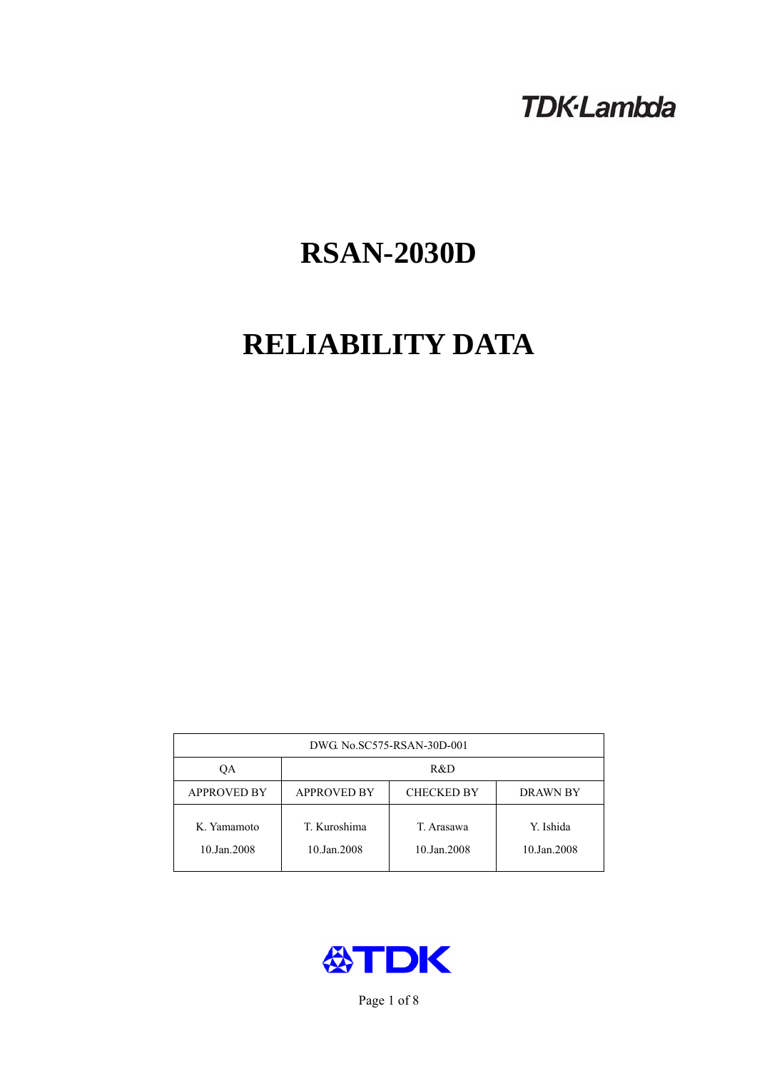# **TDK-Lambda**

# **RSAN-2030D**

# **RELIABILITY DATA**

| DWG. No.SC575-RSAN-30D-001 |                                                     |                           |                          |  |  |
|----------------------------|-----------------------------------------------------|---------------------------|--------------------------|--|--|
| OА                         | R&D                                                 |                           |                          |  |  |
| <b>APPROVED BY</b>         | <b>APPROVED BY</b><br><b>CHECKED BY</b><br>DRAWN BY |                           |                          |  |  |
| K. Yamamoto<br>10.Jan.2008 | T. Kuroshima<br>10.Jan.2008                         | T. Arasawa<br>10.Jan.2008 | Y. Ishida<br>10.Jan.2008 |  |  |



Page 1 of 8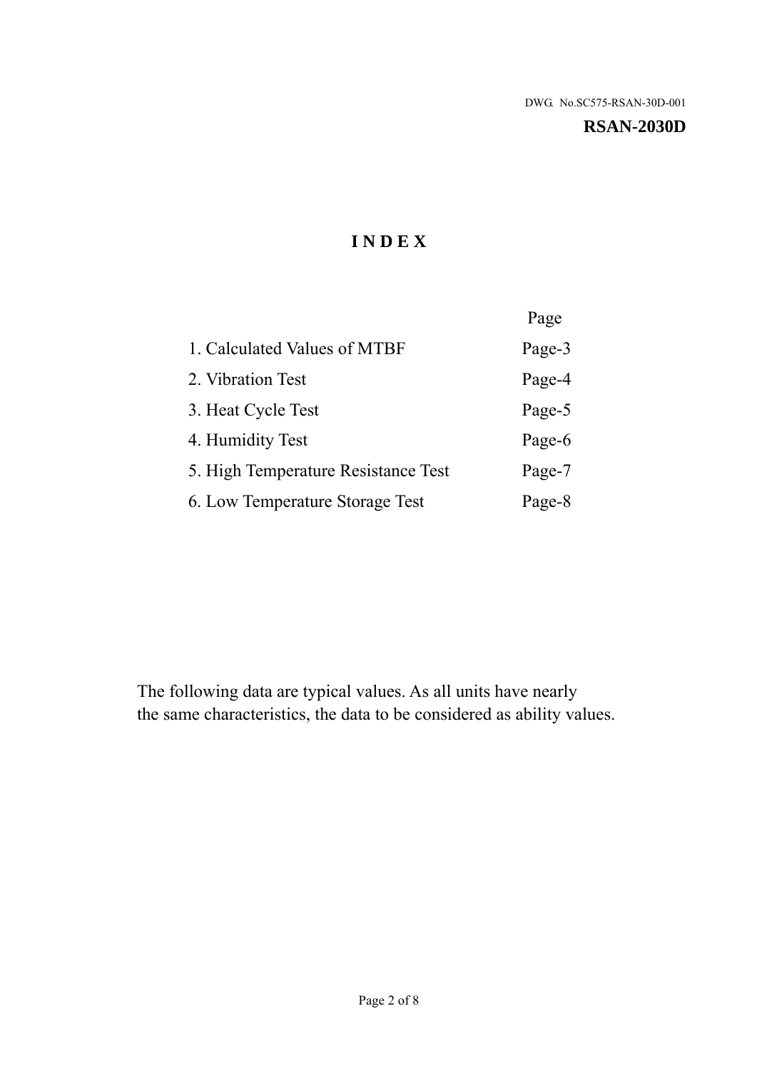#### **RSAN-2030D**

# **I N D E X**

|                                     | Page   |
|-------------------------------------|--------|
| 1. Calculated Values of MTBF        | Page-3 |
| 2. Vibration Test                   | Page-4 |
| 3. Heat Cycle Test                  | Page-5 |
| 4. Humidity Test                    | Page-6 |
| 5. High Temperature Resistance Test | Page-7 |
| 6. Low Temperature Storage Test     | Page-8 |

The following data are typical values. As all units have nearly the same characteristics, the data to be considered as ability values.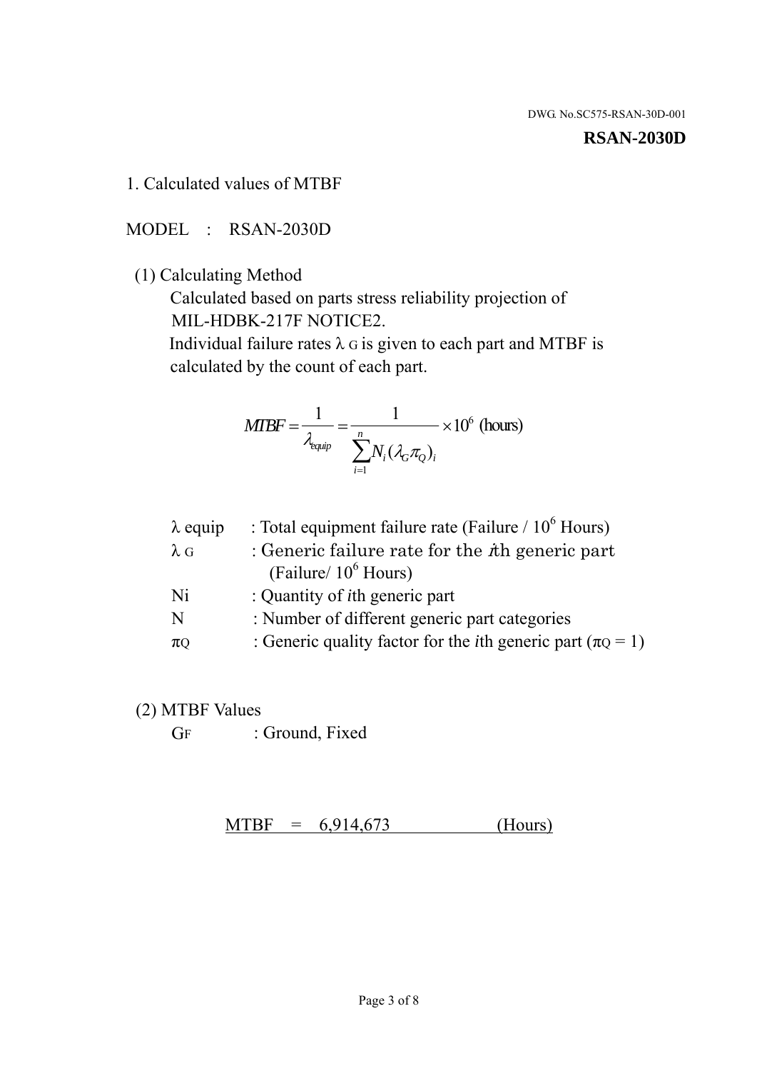#### **RSAN-2030D**

1. Calculated values of MTBF

MODEL : RSAN-2030D

(1) Calculating Method

 Calculated based on parts stress reliability projection of MIL-HDBK-217F NOTICE2.

Individual failure rates  $\lambda$  G is given to each part and MTBF is calculated by the count of each part.

$$
MTBF = \frac{1}{\lambda_{\text{equip}}} = \frac{1}{\sum_{i=1}^{n} N_i (\lambda_G \pi_Q)_i} \times 10^6 \text{ (hours)}
$$

| $\lambda$ equip | : Total equipment failure rate (Failure $/ 10^6$ Hours)                   |
|-----------------|---------------------------------------------------------------------------|
| $\lambda$ G     | : Generic failure rate for the $\hbar$ generic part                       |
|                 | (Failure/ $10^6$ Hours)                                                   |
| Ni              | : Quantity of <i>i</i> th generic part                                    |
| N               | : Number of different generic part categories                             |
| $\pi$ Q         | : Generic quality factor for the <i>i</i> th generic part ( $\pi Q = 1$ ) |

- (2) MTBF Values
	- GF : Ground, Fixed

 $MTBF = 6,914,673$  (Hours)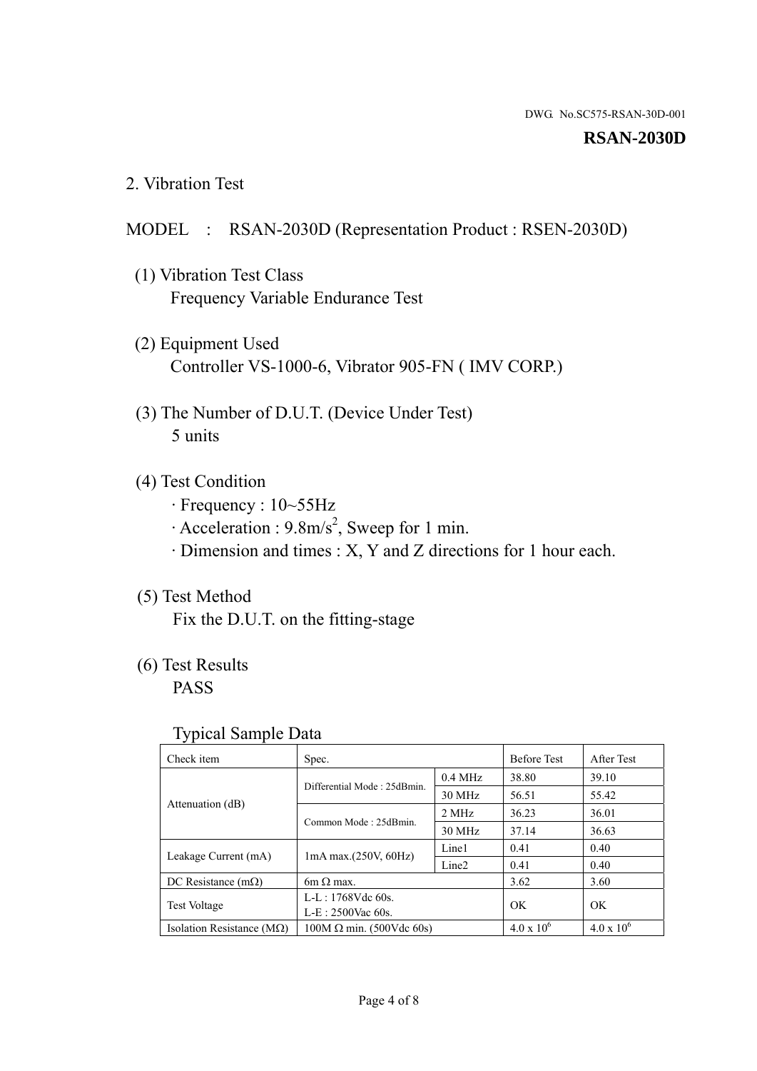#### **RSAN-2030D**

2. Vibration Test

# MODEL : RSAN-2030D (Representation Product : RSEN-2030D)

- (1) Vibration Test Class Frequency Variable Endurance Test
- (2) Equipment Used Controller VS-1000-6, Vibrator 905-FN ( IMV CORP.)
- (3) The Number of D.U.T. (Device Under Test) 5 units
- (4) Test Condition
	- · Frequency : 10~55Hz
	- $\cdot$  Acceleration : 9.8m/s<sup>2</sup>, Sweep for 1 min.
	- · Dimension and times : X, Y and Z directions for 1 hour each.

# (5) Test Method

Fix the D.U.T. on the fitting-stage

# (6) Test Results

PASS

#### Typical Sample Data

| . .                           |                                                         |           |                     |                     |
|-------------------------------|---------------------------------------------------------|-----------|---------------------|---------------------|
| Check item                    | Spec.                                                   |           | <b>Before Test</b>  | After Test          |
|                               | Differential Mode: 25dBmin.                             | $0.4$ MHz | 38.80               | 39.10               |
|                               |                                                         | 30 MHz    | 56.51               | 55.42               |
| Attenuation (dB)              | Common Mode: 25dBmin.                                   | 2 MHz     | 36.23               | 36.01               |
|                               |                                                         | 30 MHz    | 37.14               | 36.63               |
| Leakage Current (mA)          | Line1<br>$1mA$ max. $(250V, 60Hz)$<br>Line <sub>2</sub> |           | 0.41                | 0.40                |
|                               |                                                         |           | 0.41                | 0.40                |
| DC Resistance $(m\Omega)$     | 6m $\Omega$ max.                                        |           | 3.62                | 3.60                |
| <b>Test Voltage</b>           | $L-L: 1768Vdc$ 60s.                                     |           | OK                  | OK.                 |
|                               | $L-E$ : 2500Vac 60s.                                    |           |                     |                     |
| Isolation Resistance ( $MQ$ ) | $100M \Omega$ min. (500Vdc 60s)                         |           | $4.0 \times 10^{6}$ | $4.0 \times 10^{6}$ |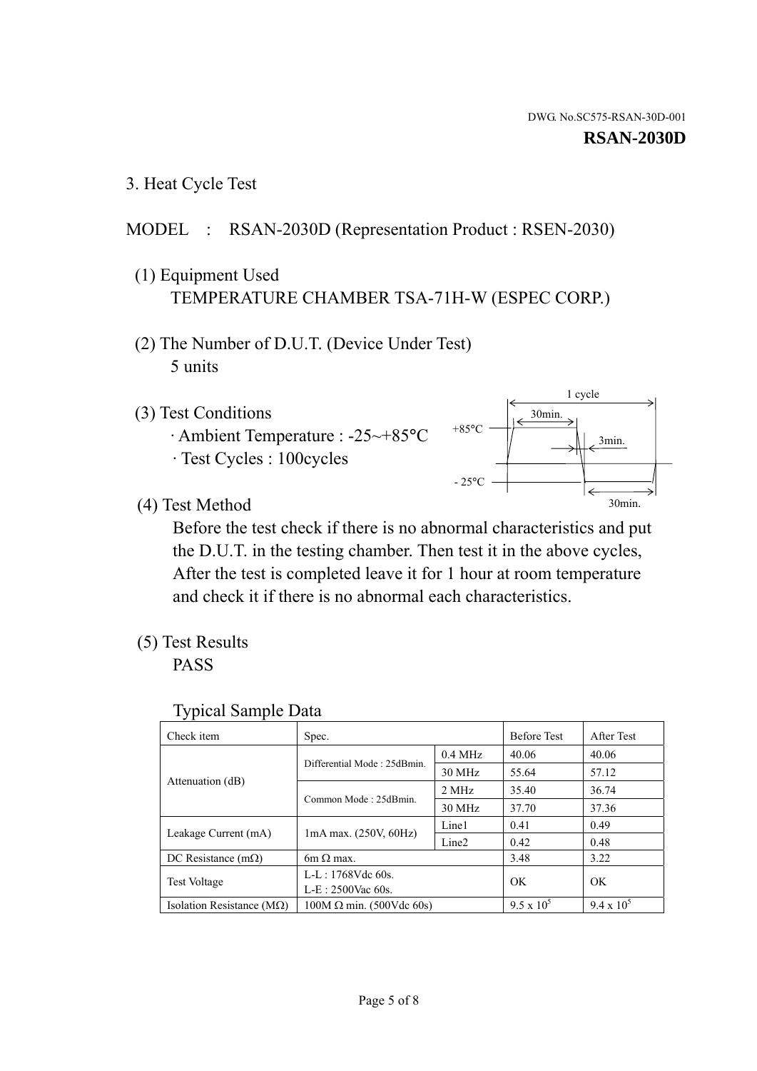3. Heat Cycle Test

### MODEL : RSAN-2030D (Representation Product : RSEN-2030)

- (1) Equipment Used TEMPERATURE CHAMBER TSA-71H-W (ESPEC CORP.)
- (2) The Number of D.U.T. (Device Under Test) 5 units
- (3) Test Conditions
	- · Ambient Temperature : -25~+85°C · Test Cycles : 100cycles



(4) Test Method

 Before the test check if there is no abnormal characteristics and put the D.U.T. in the testing chamber. Then test it in the above cycles, After the test is completed leave it for 1 hour at room temperature and check it if there is no abnormal each characteristics.

(5) Test Results

PASS

| <b>Typical Sample Data</b> |  |  |
|----------------------------|--|--|
|----------------------------|--|--|

| Check item                    | Spec.                           |                   | <b>Before Test</b> | After Test        |
|-------------------------------|---------------------------------|-------------------|--------------------|-------------------|
|                               |                                 | $0.4$ MHz         | 40.06              | 40.06             |
|                               | Differential Mode: 25dBmin.     | 30 MHz            | 55.64              | 57.12             |
| Attenuation (dB)              | Common Mode: 25dBmin.           | 2 MHz             | 35.40              | 36.74             |
|                               |                                 | 30 MHz            | 37.70              | 37.36             |
| Leakage Current (mA)          |                                 | Line1             | 0.41               | 0.49              |
|                               | $1mA$ max. $(250V, 60Hz)$       | Line <sub>2</sub> | 0.42               | 0.48              |
| DC Resistance $(m\Omega)$     | $6m \Omega$ max.                |                   | 3.48               | 3.22              |
| <b>Test Voltage</b>           | L-L: $1768V$ de $60s$ .         |                   | OK                 | OK                |
|                               | $L-E: 2500$ Vac 60s.            |                   |                    |                   |
| Isolation Resistance ( $MQ$ ) | $100M \Omega$ min. (500Vdc 60s) |                   | $9.5 \times 10^5$  | $9.4 \times 10^5$ |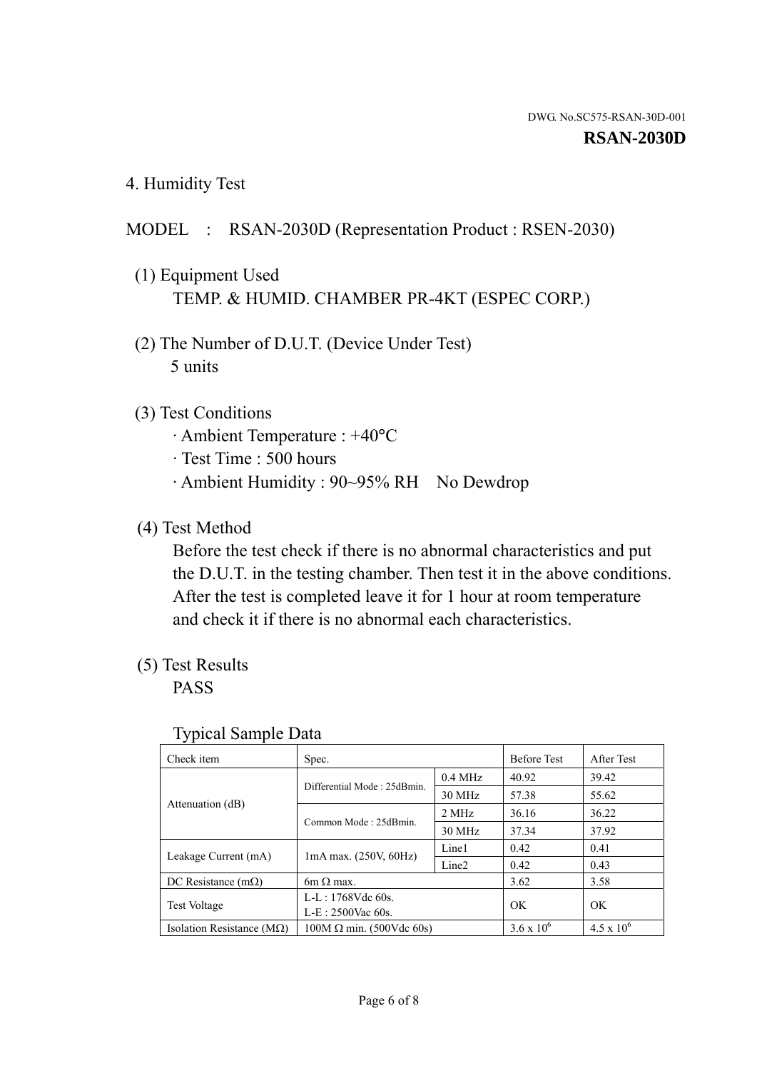4. Humidity Test

# MODEL : RSAN-2030D (Representation Product : RSEN-2030)

- (1) Equipment Used TEMP. & HUMID. CHAMBER PR-4KT (ESPEC CORP.)
- (2) The Number of D.U.T. (Device Under Test) 5 units

### (3) Test Conditions

- · Ambient Temperature : +40°C
- · Test Time : 500 hours
- · Ambient Humidity : 90~95% RH No Dewdrop

# (4) Test Method

 Before the test check if there is no abnormal characteristics and put the D.U.T. in the testing chamber. Then test it in the above conditions. After the test is completed leave it for 1 hour at room temperature and check it if there is no abnormal each characteristics.

# (5) Test Results

PASS

| ╯▴                                 |                                 |                   |                     |                     |
|------------------------------------|---------------------------------|-------------------|---------------------|---------------------|
| Check item                         | Spec.                           |                   | <b>Before Test</b>  | After Test          |
|                                    | Differential Mode: 25dBmin.     | $0.4$ MHz         | 40.92               | 39.42               |
|                                    |                                 | 30 MHz            | 57.38               | 55.62               |
| Attenuation (dB)                   | Common Mode: 25dBmin.           | 2 MHz             | 36.16               | 36.22               |
|                                    |                                 | 30 MHz            | 37.34               | 37.92               |
| Leakage Current (mA)               |                                 | Line1             | 0.42                | 0.41                |
|                                    | $1mA$ max. $(250V, 60Hz)$       | Line <sub>2</sub> | 0.42                | 0.43                |
| DC Resistance $(m\Omega)$          | $6m \Omega$ max.                |                   | 3.62                | 3.58                |
| <b>Test Voltage</b>                | $L-L: 1768Vdc$ 60s.             |                   | OK                  | OK                  |
|                                    | $L-E: 2500$ Vac 60s.            |                   |                     |                     |
| Isolation Resistance ( $M\Omega$ ) | $100M \Omega$ min. (500Vdc 60s) |                   | $3.6 \times 10^{6}$ | $4.5 \times 10^{6}$ |

#### Typical Sample Data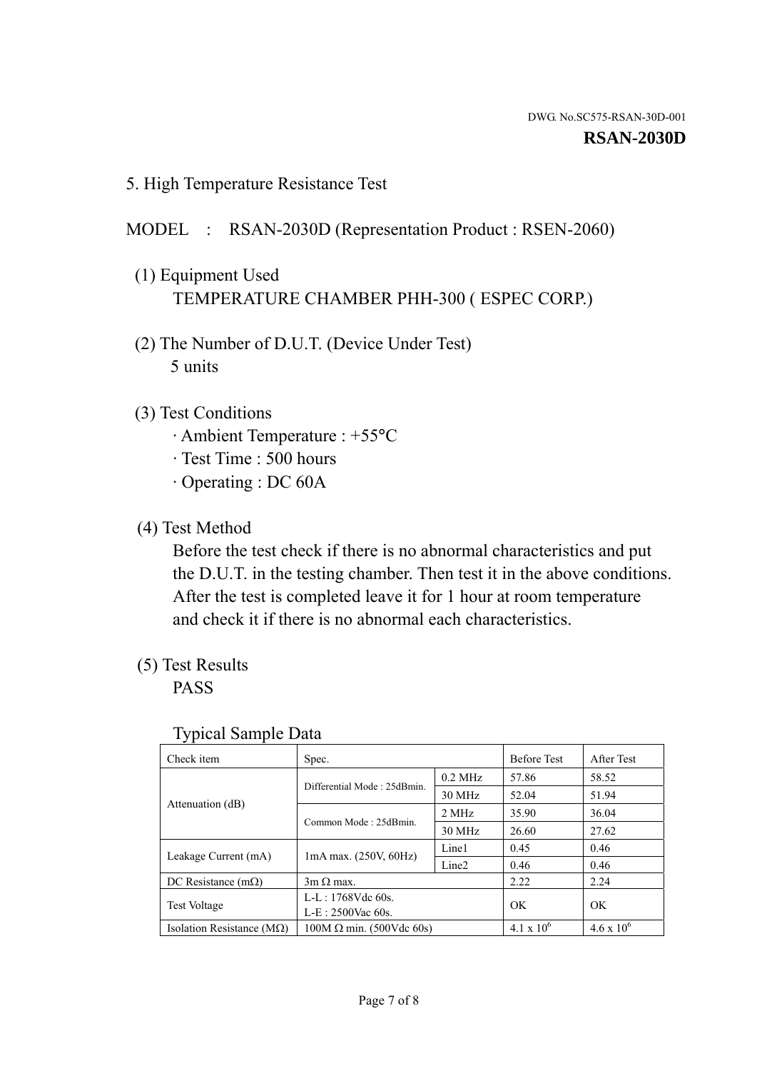5. High Temperature Resistance Test

## MODEL : RSAN-2030D (Representation Product : RSEN-2060)

- (1) Equipment Used TEMPERATURE CHAMBER PHH-300 ( ESPEC CORP.)
- (2) The Number of D.U.T. (Device Under Test) 5 units
- (3) Test Conditions
	- · Ambient Temperature : +55°C
	- · Test Time : 500 hours
	- · Operating : DC 60A
- (4) Test Method

 Before the test check if there is no abnormal characteristics and put the D.U.T. in the testing chamber. Then test it in the above conditions. After the test is completed leave it for 1 hour at room temperature and check it if there is no abnormal each characteristics.

(5) Test Results

PASS

| J 1                                |                                 |                   |                     |                     |
|------------------------------------|---------------------------------|-------------------|---------------------|---------------------|
| Check item                         | Spec.                           |                   | <b>Before Test</b>  | After Test          |
|                                    | Differential Mode: 25dBmin.     | $0.2$ MHz         | 57.86               | 58.52               |
|                                    |                                 | 30 MHz            | 52.04               | 51.94               |
| Attenuation (dB)                   | Common Mode: 25dBmin.           | 2 MHz             | 35.90               | 36.04               |
|                                    |                                 | 30 MHz            | 26.60               | 27.62               |
| Leakage Current (mA)               | $1mA$ max. $(250V, 60Hz)$       | Line1             | 0.45                | 0.46                |
|                                    |                                 | Line <sub>2</sub> | 0.46                | 0.46                |
| DC Resistance $(m\Omega)$          | $3m \Omega$ max.                |                   | 2.22                | 2.24                |
| <b>Test Voltage</b>                | $L-L: 1768Vdc$ 60s.             |                   | OK                  | OK                  |
|                                    | $L-E: 2500$ Vac 60s.            |                   |                     |                     |
| Isolation Resistance ( $M\Omega$ ) | $100M \Omega$ min. (500Vdc 60s) |                   | $4.1 \times 10^{6}$ | $4.6 \times 10^{6}$ |

#### Typical Sample Data